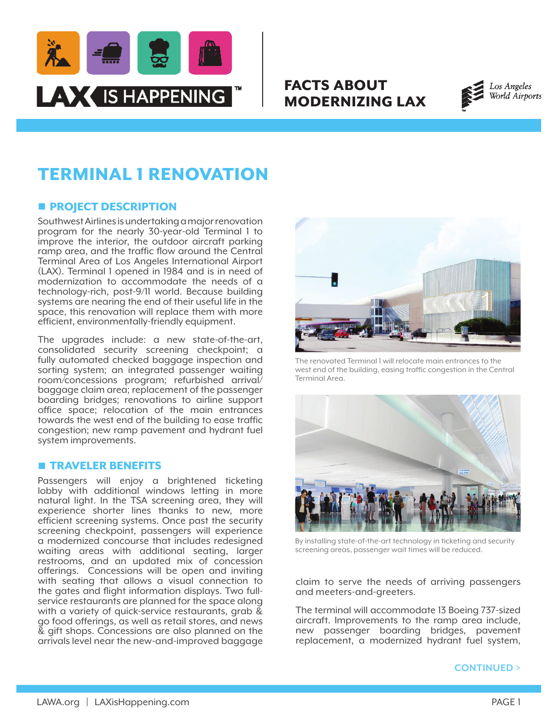

# FACTS ABOUT MODERNIZING LAX



# TERMINAL 1 RENOVATION

## **n** PROJECT DESCRIPTION

Southwest Airlines is undertaking a major renovation program for the nearly 30-year-old Terminal 1 to improve the interior, the outdoor aircraft parking ramp area, and the traffic flow around the Central Terminal Area of Los Angeles International Airport (LAX). Terminal 1 opened in 1984 and is in need of modernization to accommodate the needs of a technology-rich, post-9/11 world. Because building systems are nearing the end of their useful life in the space, this renovation will replace them with more efficient, environmentally-friendly equipment.

The upgrades include: a new state-of-the-art, consolidated security screening checkpoint; a fully automated checked baggage inspection and sorting system; an integrated passenger waiting room/concessions program; refurbished arrival/ baggage claim area; replacement of the passenger boarding bridges; renovations to airline support office space; relocation of the main entrances towards the west end of the building to ease traffic congestion; new ramp pavement and hydrant fuel system improvements.

### **n** TRAVELER BENEFITS

Passengers will enjoy a brightened ticketing lobby with additional windows letting in more natural light. In the TSA screening area, they will experience shorter lines thanks to new, more efficient screening systems. Once past the security screening checkpoint, passengers will experience a modernized concourse that includes redesigned waiting areas with additional seating, larger restrooms, and an updated mix of concession offerings. Concessions will be open and inviting with seating that allows a visual connection to the gates and flight information displays. Two fullservice restaurants are planned for the space along with a variety of quick-service restaurants, grab & go food offerings, as well as retail stores, and news & gift shops. Concessions are also planned on the arrivals level near the new-and-improved baggage



The renovated Terminal 1 will relocate main entrances to the west end of the building, easing traffic congestion in the Central Terminal Area.



By installing state-of-the-art technology in ticketing and security screening areas, passenger wait times will be reduced.

claim to serve the needs of arriving passengers and meeters-and-greeters.

The terminal will accommodate 13 Boeing 737-sized aircraft. Improvements to the ramp area include, new passenger boarding bridges, pavement replacement, a modernized hydrant fuel system,